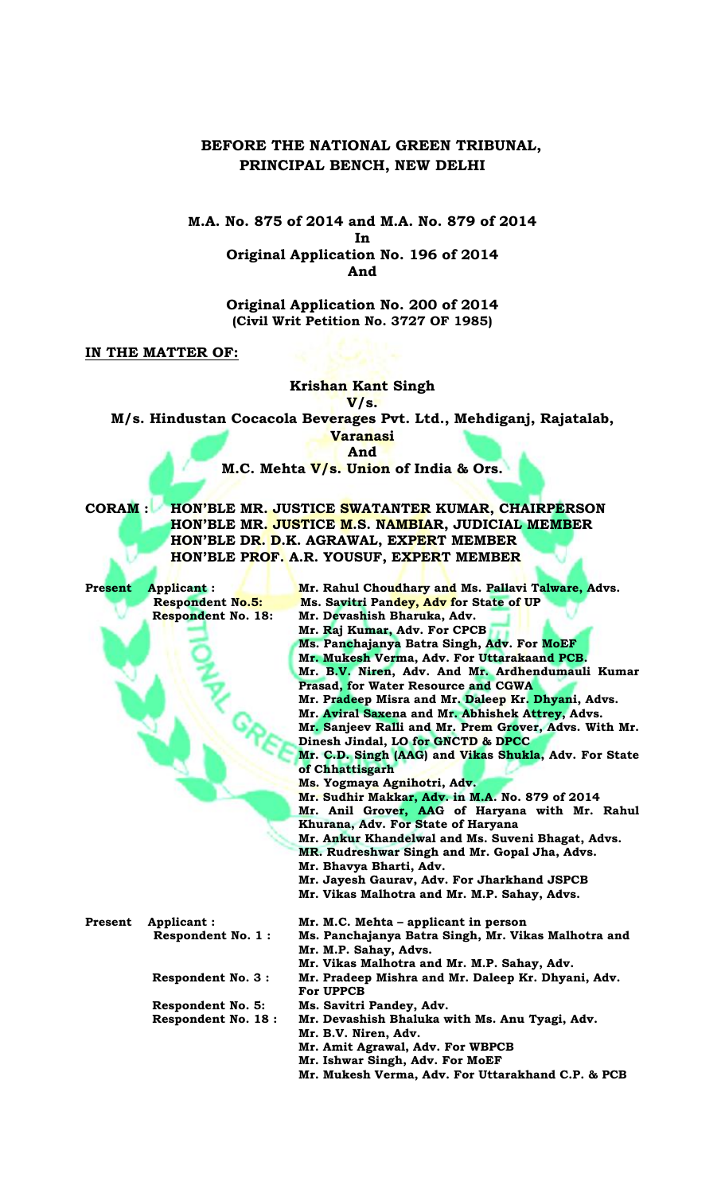## **BEFORE THE NATIONAL GREEN TRIBUNAL, PRINCIPAL BENCH, NEW DELHI**

## **M.A. No. 875 of 2014 and M.A. No. 879 of 2014 In Original Application No. 196 of 2014 And**

**Original Application No. 200 of 2014 (Civil Writ Petition No. 3727 OF 1985)**

**IN THE MATTER OF:**

**Krishan Kant Singh V/s. M/s. Hindustan Cocacola Beverages Pvt. Ltd., Mehdiganj, Rajatalab, Varanasi And M.C. Mehta V/s. Union of India & Ors. CORAM : HON'BLE MR. JUSTICE SWATANTER KUMAR, CHAIRPERSON HON'BLE MR. JUSTICE M.S. NAMBIAR, JUDICIAL MEMBER HON'BLE DR. D.K. AGRAWAL, EXPERT MEMBER HON'BLE PROF. A.R. YOUSUF, EXPERT MEMBER Present Applicant : Mr. Rahul Choudhary and Ms. Pallavi Talware, Advs. Respondent No.5: Ms. Savitri Pandey, Adv for State of UP Respondent No. 18: Mr. Devashish Bharuka, Adv. Mr. Raj Kumar, Adv. For CPCB Ms. Panchajanya Batra Singh, Adv. For MoEF Mr. Mukesh Verma, Adv. For Uttarakaand PCB. Mr. B.V. Niren, Adv. And Mr. Ardhendumauli Kumar Prasad, for Water Resource and CGWA Mr. Pradeep Misra and Mr. Daleep Kr. Dhyani, Advs. Mr. Aviral Saxena and Mr. Abhishek Attrey, Advs. Mr. Sanjeev Ralli and Mr. Prem Grover, Advs. With Mr. Dinesh Jindal, LO for GNCTD & DPCC Mr. C.D. Singh (AAG) and Vikas Shukla, Adv. For State of Chhattisgarh Ms. Yogmaya Agnihotri, Adv. Mr. Sudhir Makkar, Adv. in M.A. No. 879 of 2014 Mr. Anil Grover, AAG of Haryana with Mr. Rahul Khurana, Adv. For State of Haryana Mr. Ankur Khandelwal and Ms. Suveni Bhagat, Advs. MR. Rudreshwar Singh and Mr. Gopal Jha, Advs. Mr. Bhavya Bharti, Adv. Mr. Jayesh Gaurav, Adv. For Jharkhand JSPCB Mr. Vikas Malhotra and Mr. M.P. Sahay, Advs. Present** Applicant : **Mr. M.C. Mehta - applicant in person Respondent No. 1 : Ms. Panchajanya Batra Singh, Mr. Vikas Malhotra and Mr. M.P. Sahay, Advs. Mr. Vikas Malhotra and Mr. M.P. Sahay, Adv. Respondent No. 3 : Mr. Pradeep Mishra and Mr. Daleep Kr. Dhyani, Adv. For UPPCB Respondent No. 5: Ms. Savitri Pandey, Adv. Respondent No. 18 : Mr. Devashish Bhaluka with Ms. Anu Tyagi, Adv. Mr. B.V. Niren, Adv. Mr. Amit Agrawal, Adv. For WBPCB Mr. Ishwar Singh, Adv. For MoEF Mr. Mukesh Verma, Adv. For Uttarakhand C.P. & PCB**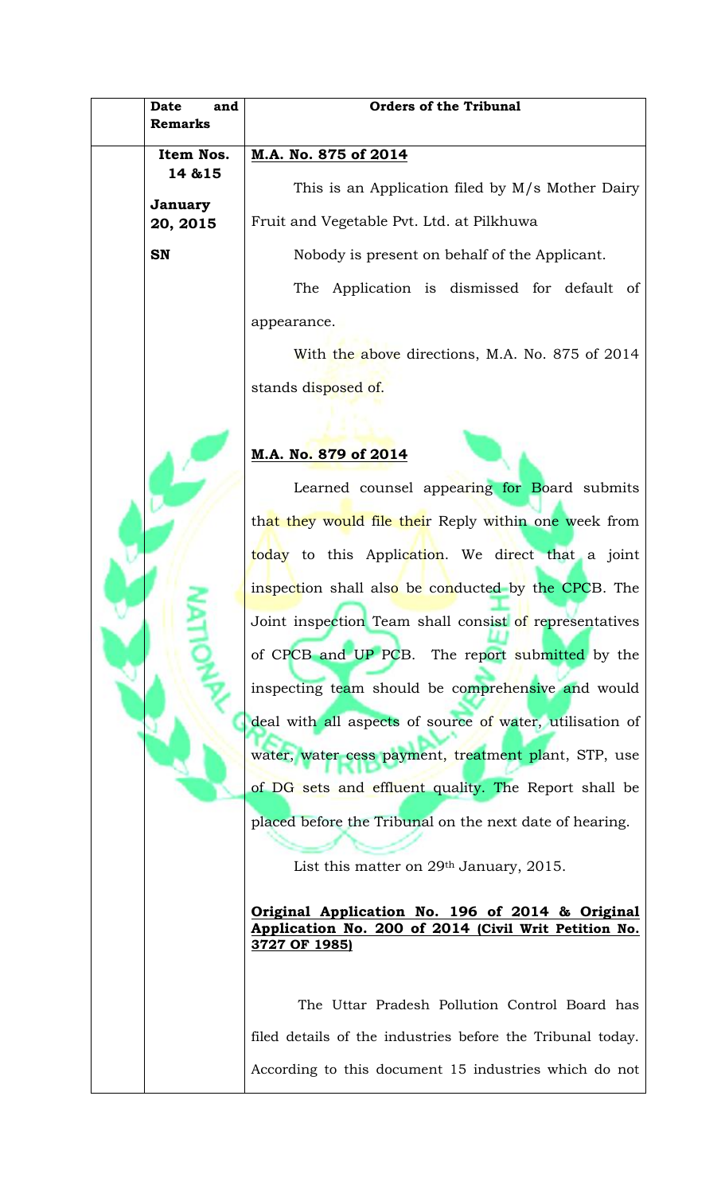|  | Date<br>and<br><b>Remarks</b>               | <b>Orders of the Tribunal</b>                                                                                            |
|--|---------------------------------------------|--------------------------------------------------------------------------------------------------------------------------|
|  | Item Nos.<br>14 & 15<br>January<br>20, 2015 | M.A. No. 875 of 2014                                                                                                     |
|  |                                             | This is an Application filed by M/s Mother Dairy                                                                         |
|  |                                             | Fruit and Vegetable Pvt. Ltd. at Pilkhuwa                                                                                |
|  | <b>SN</b>                                   | Nobody is present on behalf of the Applicant.                                                                            |
|  |                                             | The Application is dismissed for default of                                                                              |
|  |                                             | appearance.                                                                                                              |
|  |                                             | With the above directions, M.A. No. 875 of 2014                                                                          |
|  |                                             | stands disposed of.                                                                                                      |
|  |                                             |                                                                                                                          |
|  |                                             | M.A. No. 879 of 2014                                                                                                     |
|  |                                             | Learned counsel appearing for Board submits                                                                              |
|  |                                             | that they would file their Reply within one week from                                                                    |
|  |                                             | today to this Application. We direct that a joint                                                                        |
|  |                                             | inspection shall also be conducted by the CPCB. The                                                                      |
|  |                                             | Joint inspection Team shall consist of representatives                                                                   |
|  |                                             | of CPCB and UP PCB. The report submitted by the                                                                          |
|  |                                             | inspecting team should be comprehensive and would                                                                        |
|  |                                             | deal with all aspects of source of water, utilisation of                                                                 |
|  |                                             | water, water cess payment, treatment plant, STP, use                                                                     |
|  |                                             | of DG sets and effluent quality. The Report shall be                                                                     |
|  |                                             | placed before the Tribunal on the next date of hearing.                                                                  |
|  |                                             | List this matter on $29th$ January, 2015.                                                                                |
|  |                                             |                                                                                                                          |
|  |                                             | Original Application No. 196 of 2014 & Original<br>Application No. 200 of 2014 (Civil Writ Petition No.<br>3727 OF 1985) |
|  |                                             |                                                                                                                          |
|  |                                             | The Uttar Pradesh Pollution Control Board has                                                                            |
|  |                                             | filed details of the industries before the Tribunal today.                                                               |
|  |                                             | According to this document 15 industries which do not                                                                    |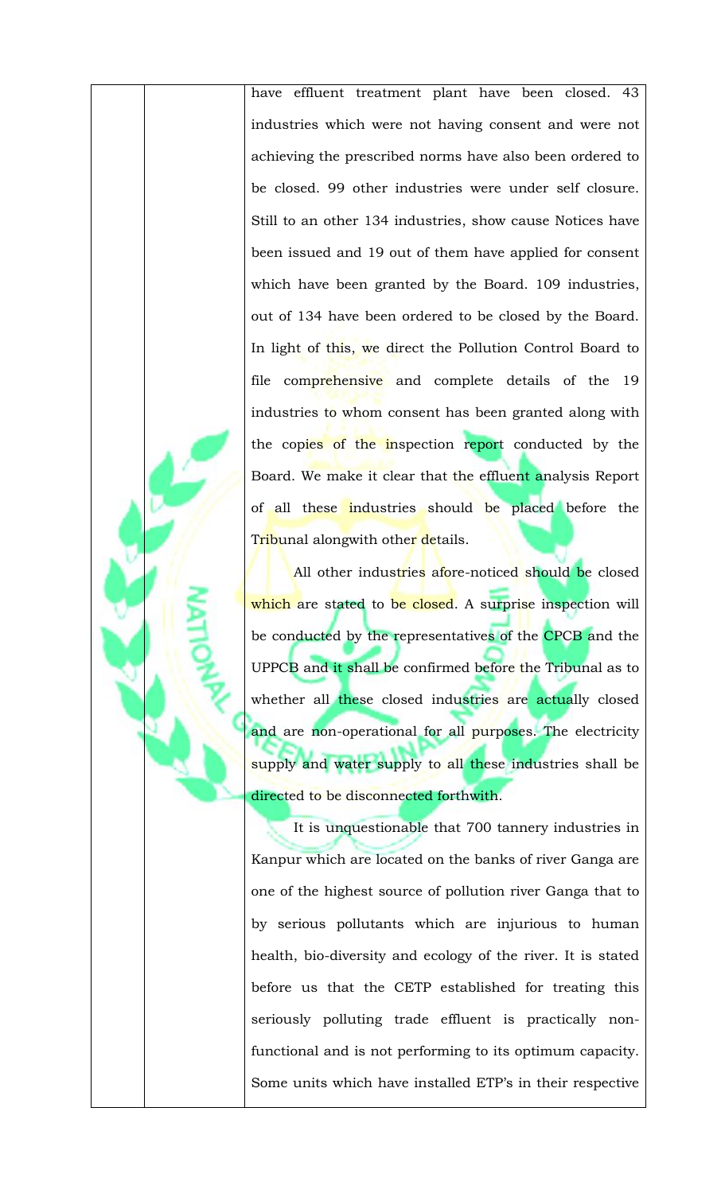have effluent treatment plant have been closed. 43 industries which were not having consent and were not achieving the prescribed norms have also been ordered to be closed. 99 other industries were under self closure. Still to an other 134 industries, show cause Notices have been issued and 19 out of them have applied for consent which have been granted by the Board. 109 industries, out of 134 have been ordered to be closed by the Board. In light of this, we direct the Pollution Control Board to file comprehensive and complete details of the 19 industries to whom consent has been granted along with the copies of the inspection report conducted by the Board. We make it clear that the effluent analysis Report of all these industries should be placed before the T<mark>rib</mark>unal alongwith othe<mark>r de</mark>tails.

All other industries afore-noticed should be closed which are stated to be closed. A surprise inspection will be conducted by the representatives of the CPCB and the UPPCB and it shall be confirmed before the Tribunal as to whether all these closed industries are actually closed and are non-operational for all purposes. The electricity supply and water supply to all these industries shall be directed to be disconnected forthwith.

It is unquestionable that 700 tannery industries in Kanpur which are located on the banks of river Ganga are one of the highest source of pollution river Ganga that to by serious pollutants which are injurious to human health, bio-diversity and ecology of the river. It is stated before us that the CETP established for treating this seriously polluting trade effluent is practically nonfunctional and is not performing to its optimum capacity. Some units which have installed ETP's in their respective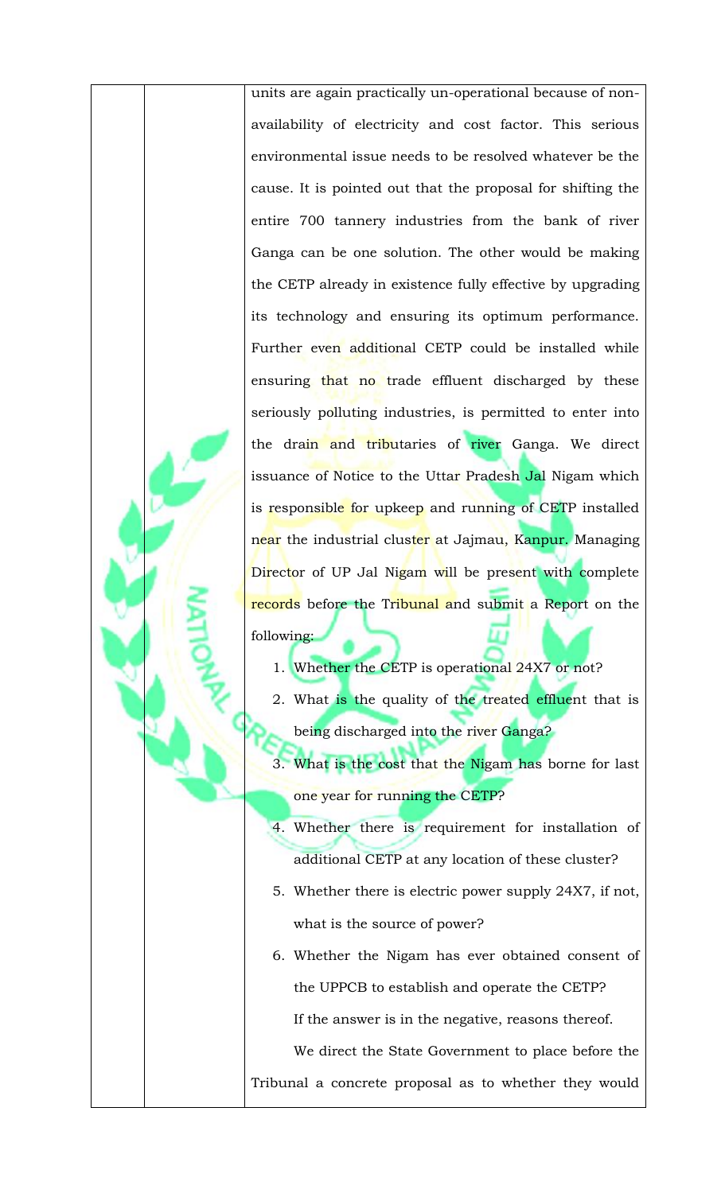units are again practically un-operational because of nonavailability of electricity and cost factor. This serious environmental issue needs to be resolved whatever be the cause. It is pointed out that the proposal for shifting the entire 700 tannery industries from the bank of river Ganga can be one solution. The other would be making the CETP already in existence fully effective by upgrading its technology and ensuring its optimum performance. Further even additional CETP could be installed while ensuring that no trade effluent discharged by these seriously polluting industries, is permitted to enter into the drain and tributaries of river Ganga. We direct issuance of Notice to the Uttar Pradesh Jal Nigam which is responsible for upkeep and running of CETP installed near the industrial cluster at Jajmau, Kanpur. Managing Director of UP Jal Nigam will be present with complete records before the Tribunal and submit a Report on the following:

- 1. Whether the CETP is operational 24X7 or not?
- 2. What is the quality of the treated effluent that is being discharged into the river Ganga?
- 3. What is the cost that the Nigam has borne for last one year for running the CETP?
- 4. Whether there is requirement for installation of additional CETP at any location of these cluster?
- 5. Whether there is electric power supply 24X7, if not, what is the source of power?
- 6. Whether the Nigam has ever obtained consent of the UPPCB to establish and operate the CETP? If the answer is in the negative, reasons thereof. We direct the State Government to place before the Tribunal a concrete proposal as to whether they would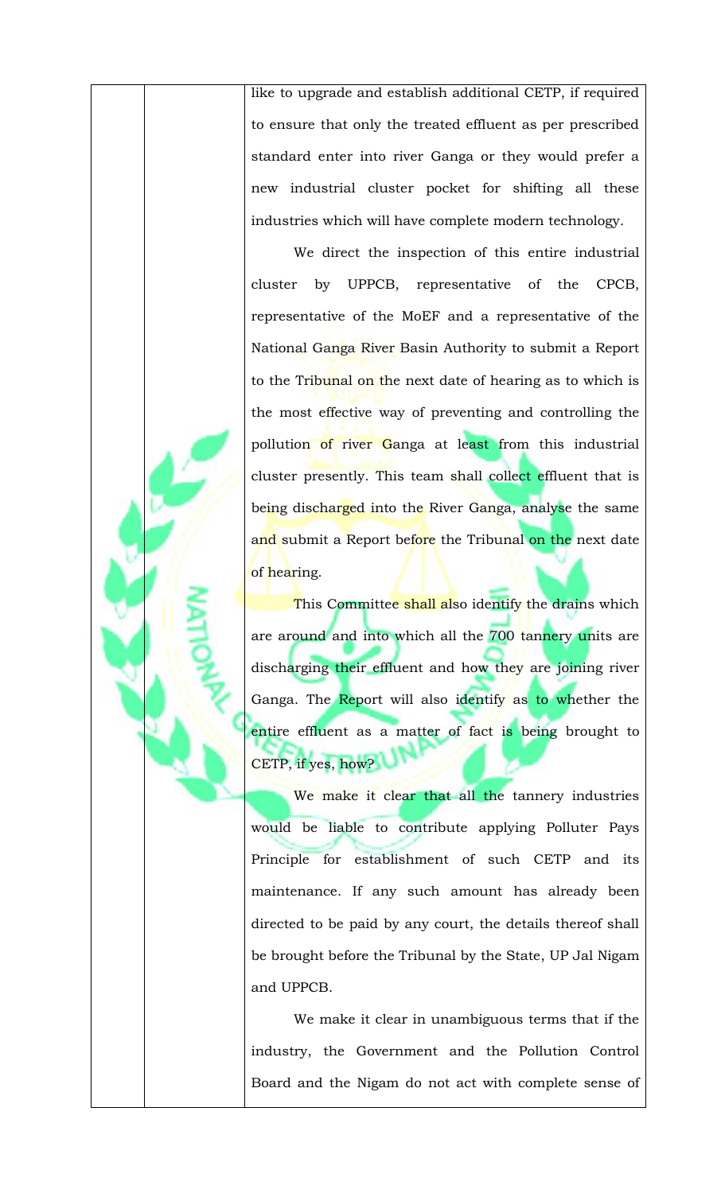like to upgrade and establish additional CETP, if required to ensure that only the treated effluent as per prescribed standard enter into river Ganga or they would prefer a new industrial cluster pocket for shifting all these industries which will have complete modern technology.

We direct the inspection of this entire industrial cluster by UPPCB, representative of the CPCB, representative of the MoEF and a representative of the National Ganga River Basin Authority to submit a Report to the Tribunal on the next date of hearing as to which is the most effective way of preventing and controlling the pollution of river Ganga at least from this industrial cluster presently. This team shall collect effluent that is being discharged into the River Ganga, analyse the same and submit a Report before the Tribunal on the next date of hearing.

This Committee shall also identify the drains which are around and into which all the 700 tannery units are discharging their effluent and how they are joining river Ganga. The Report will also identify as to whether the entire effluent as a matter of fact is being brought to CETP, if yes, how?

We make it clear that all the tannery industries would be liable to contribute applying Polluter Pays Principle for establishment of such CETP and its maintenance. If any such amount has already been directed to be paid by any court, the details thereof shall be brought before the Tribunal by the State, UP Jal Nigam and UPPCB.

We make it clear in unambiguous terms that if the industry, the Government and the Pollution Control Board and the Nigam do not act with complete sense of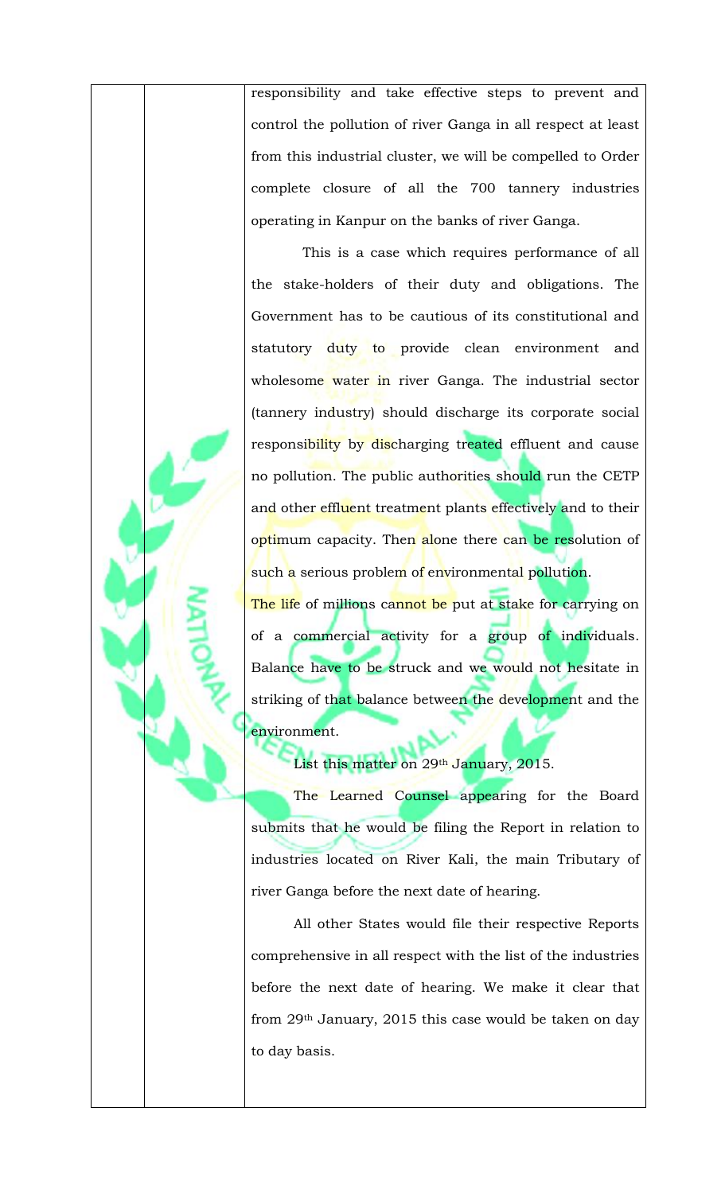responsibility and take effective steps to prevent and control the pollution of river Ganga in all respect at least from this industrial cluster, we will be compelled to Order complete closure of all the 700 tannery industries operating in Kanpur on the banks of river Ganga.

 This is a case which requires performance of all the stake-holders of their duty and obligations. The Government has to be cautious of its constitutional and statutory duty to provide clean environment and wholesome water in river Ganga. The industrial sector (tannery industry) should discharge its corporate social responsibility by discharging treated effluent and cause no pollution. The public authorities should run the CETP and other effluent treatment plants effectively and to their optimum capacity. Then alone there can be resolution of such a serious problem of environmental pollution.

The life of millions cannot be put at stake for carrying on of a commercial activity for a group of individuals. Balance have to be struck and we would not hesitate in striking of that balance between the development and the environment.

List this matter on 29<sup>th</sup> January, 2015.

The Learned Counsel appearing for the Board submits that he would be filing the Report in relation to industries located on River Kali, the main Tributary of river Ganga before the next date of hearing.

All other States would file their respective Reports comprehensive in all respect with the list of the industries before the next date of hearing. We make it clear that from 29th January, 2015 this case would be taken on day to day basis.